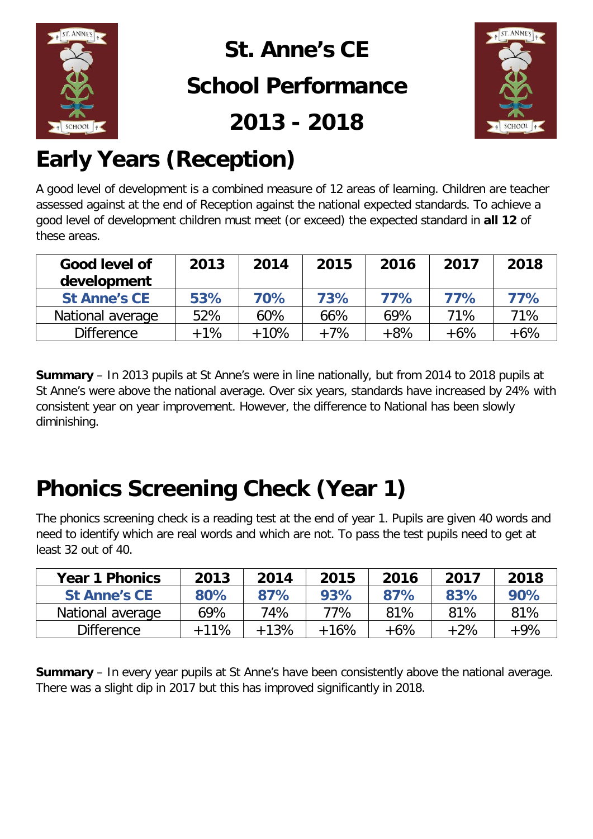

### **St. Anne's CE School Performance**

**2013 - 2018**



## **Early Years (Reception)**

A good level of development is a combined measure of 12 areas of learning. Children are teacher assessed against at the end of Reception against the national expected standards. To achieve a good level of development children must meet (or exceed) the expected standard in **all 12** of these areas.

| Good level of<br>development | 2013  | 2014   | 2015  | 2016  | 2017  | 2018  |
|------------------------------|-------|--------|-------|-------|-------|-------|
| <b>St Anne's CE</b>          | 53%   | 70%    | 73%   | 77%   | 77%   | 77%   |
| National average             | 52%   | 60%    | 66%   | 69%   | 71%   | 71%   |
| <b>Difference</b>            | $+1%$ | $+10%$ | $+7%$ | $+8%$ | $+6%$ | $+6%$ |

**Summary** – In 2013 pupils at St Anne's were in line nationally, but from 2014 to 2018 pupils at St Anne's were above the national average. Over six years, standards have increased by 24% with consistent year on year improvement. However, the difference to National has been slowly diminishing.

## **Phonics Screening Check (Year 1)**

The phonics screening check is a reading test at the end of year 1. Pupils are given 40 words and need to identify which are real words and which are not. To pass the test pupils need to get at least 32 out of 40.

| <b>Year 1 Phonics</b> | 2013   | 2014   | 2015   | 2016   | 2017  | 2018   |
|-----------------------|--------|--------|--------|--------|-------|--------|
| <b>St Anne's CE</b>   | 80%    | 87%    | 93%    | 87%    | 83%   | 90%    |
| National average      | 69%    | 74%    | 77%    | 81%    | 81%   | 81%    |
| <b>Difference</b>     | $+11%$ | $+13%$ | $+16%$ | $+6\%$ | $+2%$ | $+9\%$ |

**Summary** – In every year pupils at St Anne's have been consistently above the national average. There was a slight dip in 2017 but this has improved significantly in 2018.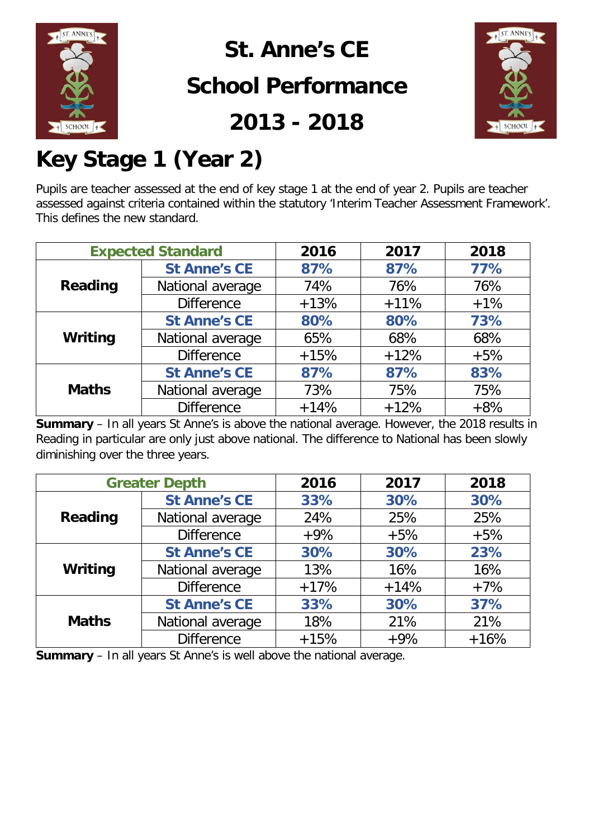

### **St. Anne's CE**

### **School Performance**

**2013 - 2018**



## **Key Stage 1 (Year 2)**

Pupils are teacher assessed at the end of key stage 1 at the end of year 2. Pupils are teacher assessed against criteria contained within the statutory 'Interim Teacher Assessment Framework'. This defines the new standard.

|                | <b>Expected Standard</b> |        | 2017   | 2018  |
|----------------|--------------------------|--------|--------|-------|
|                | <b>St Anne's CE</b>      | 87%    | 87%    | 77%   |
| <b>Reading</b> | National average         | 74%    | 76%    | 76%   |
|                | <b>Difference</b>        | $+13%$ | $+11%$ | $+1%$ |
|                | <b>St Anne's CE</b>      | 80%    | 80%    | 73%   |
| Writing        | National average         | 65%    | 68%    | 68%   |
|                | <b>Difference</b>        | $+15%$ | $+12%$ | $+5%$ |
|                | <b>St Anne's CE</b>      | 87%    | 87%    | 83%   |
| <b>Maths</b>   | National average         | 73%    | 75%    | 75%   |
|                | <b>Difference</b>        | $+14%$ | $+12%$ | $+8%$ |

**Summary** – In all years St Anne's is above the national average. However, the 2018 results in Reading in particular are only just above national. The difference to National has been slowly diminishing over the three years.

| <b>Greater Depth</b> |                     | 2016   | 2017   | 2018   |
|----------------------|---------------------|--------|--------|--------|
|                      | <b>St Anne's CE</b> | 33%    | 30%    | 30%    |
| <b>Reading</b>       | National average    | 24%    | 25%    | 25%    |
|                      | <b>Difference</b>   | $+9%$  | $+5%$  | $+5%$  |
|                      | <b>St Anne's CE</b> | 30%    | 30%    | 23%    |
| Writing              | National average    | 13%    | 16%    | 16%    |
|                      | <b>Difference</b>   | $+17%$ | $+14%$ | $+7%$  |
|                      | <b>St Anne's CE</b> | 33%    | 30%    | 37%    |
| <b>Maths</b>         | National average    | 18%    | 21%    | 21%    |
|                      | <b>Difference</b>   | $+15%$ | $+9%$  | $+16%$ |

**Summary** – In all years St Anne's is well above the national average.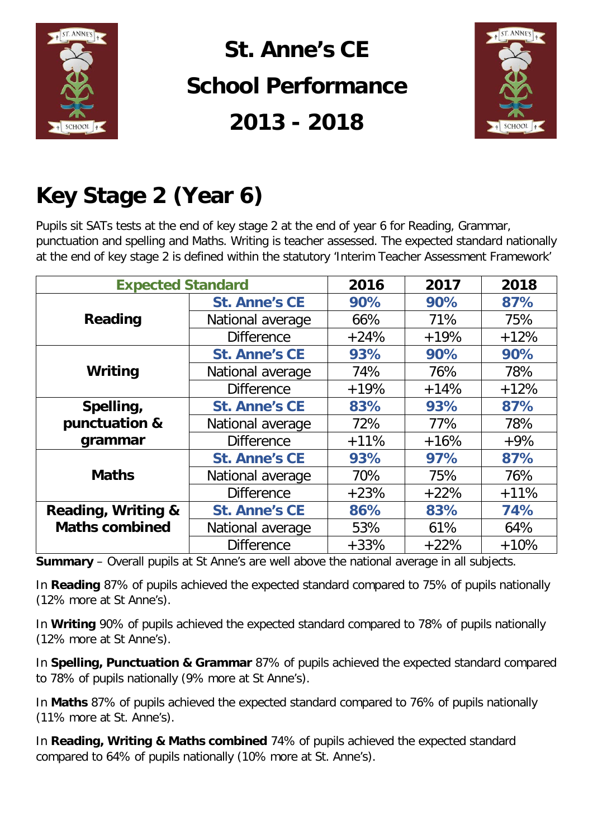

# **St. Anne's CE School Performance 2013 - 2018**



## **Key Stage 2 (Year 6)**

Pupils sit SATs tests at the end of key stage 2 at the end of year 6 for Reading, Grammar, punctuation and spelling and Maths. Writing is teacher assessed. The expected standard nationally at the end of key stage 2 is defined within the statutory 'Interim Teacher Assessment Framework'

| <b>Expected Standard</b> |                        | 2016   | 2017   | 2018   |
|--------------------------|------------------------|--------|--------|--------|
|                          | <b>St. Anne's CE</b>   | 90%    | 90%    | 87%    |
| <b>Reading</b>           | National average       | 66%    | 71%    | 75%    |
|                          | <b>Difference</b>      | $+24%$ | $+19%$ | $+12%$ |
|                          | <b>St. Anne's CE</b>   | 93%    | 90%    | 90%    |
| Writing                  | National average       | 74%    | 76%    | 78%    |
|                          | <b>Difference</b>      | $+19%$ | $+14%$ | $+12%$ |
| Spelling,                | <b>St. Anne's CE</b>   | 83%    | 93%    | 87%    |
| punctuation &            | National average       | 72%    | 77%    | 78%    |
| grammar                  | <b>Difference</b>      | $+11%$ | $+16%$ | $+9%$  |
|                          | <b>St. Anne's CE</b>   | 93%    | 97%    | 87%    |
| <b>Maths</b>             | National average       | 70%    | 75%    | 76%    |
|                          | <b>Difference</b>      | $+23%$ | $+22%$ | $+11%$ |
| Reading, Writing &       | <b>St. Anne's CE</b>   | 86%    | 83%    | 74%    |
| <b>Maths combined</b>    | National average       | 53%    | 61%    | 64%    |
|                          | <b>Difference</b><br>. | $+33%$ | $+22%$ | $+10%$ |

**Summary** – Overall pupils at St Anne's are well above the national average in all subjects.

In **Reading** 87% of pupils achieved the expected standard compared to 75% of pupils nationally (12% more at St Anne's).

In **Writing** 90% of pupils achieved the expected standard compared to 78% of pupils nationally (12% more at St Anne's).

In **Spelling, Punctuation & Grammar** 87% of pupils achieved the expected standard compared to 78% of pupils nationally (9% more at St Anne's).

In **Maths** 87% of pupils achieved the expected standard compared to 76% of pupils nationally (11% more at St. Anne's).

In **Reading, Writing & Maths combined** 74% of pupils achieved the expected standard compared to 64% of pupils nationally (10% more at St. Anne's).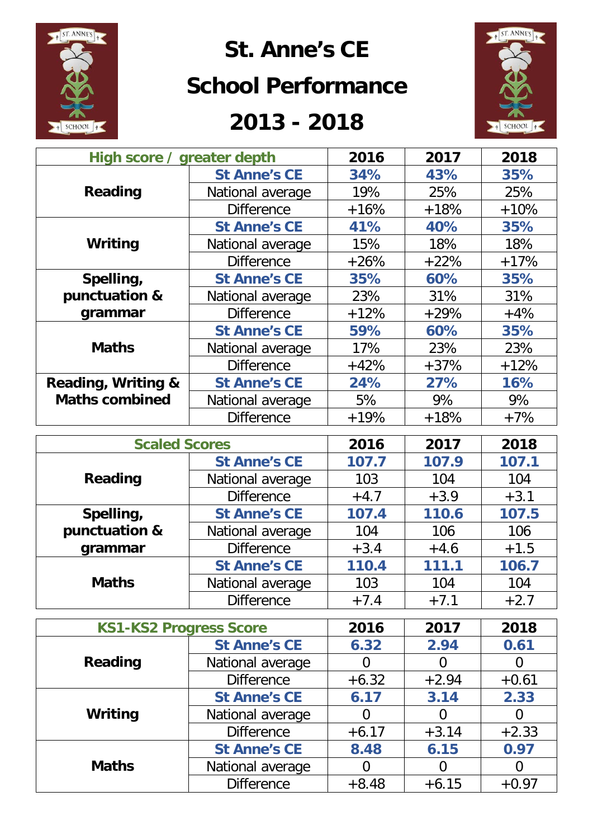

### **St. Anne's CE**

#### **School Performance**

### **2013 - 2018**



| High score / greater depth |                     | 2016   | 2017   | 2018   |
|----------------------------|---------------------|--------|--------|--------|
|                            | <b>St Anne's CE</b> | 34%    | 43%    | 35%    |
| Reading                    | National average    | 19%    | 25%    | 25%    |
|                            | <b>Difference</b>   | $+16%$ | $+18%$ | $+10%$ |
|                            | <b>St Anne's CE</b> | 41%    | 40%    | 35%    |
| Writing                    | National average    | 15%    | 18%    | 18%    |
|                            | <b>Difference</b>   | $+26%$ | $+22%$ | $+17%$ |
| Spelling,                  | <b>St Anne's CE</b> | 35%    | 60%    | 35%    |
| punctuation &              | National average    | 23%    | 31%    | 31%    |
| grammar                    | <b>Difference</b>   | $+12%$ | $+29%$ | $+4%$  |
|                            | <b>St Anne's CE</b> | 59%    | 60%    | 35%    |
| <b>Maths</b>               | National average    | 17%    | 23%    | 23%    |
|                            | <b>Difference</b>   | $+42%$ | $+37%$ | $+12%$ |
| Reading, Writing &         | <b>St Anne's CE</b> | 24%    | 27%    | 16%    |
| <b>Maths combined</b>      | National average    | 5%     | 9%     | 9%     |
|                            | <b>Difference</b>   | $+19%$ | $+18%$ | $+7%$  |

| <b>Scaled Scores</b>              |                     | 2016   | 2017   | 2018   |
|-----------------------------------|---------------------|--------|--------|--------|
|                                   | <b>St Anne's CE</b> | 107.7  | 107.9  | 107.1  |
| Reading                           | National average    | 103    | 104    | 104    |
|                                   | <b>Difference</b>   | $+4.7$ | $+3.9$ | $+3.1$ |
| Spelling,                         | <b>St Anne's CE</b> | 107.4  | 110.6  | 107.5  |
| punctuation &<br>National average |                     | 104    | 106    | 106    |
| grammar                           | <b>Difference</b>   | $+3.4$ | $+4.6$ | $+1.5$ |
|                                   | <b>St Anne's CE</b> | 110.4  | 111.1  | 106.7  |
| <b>Maths</b>                      | National average    | 103    | 104    | 104    |
|                                   | <b>Difference</b>   | $+7.4$ | $+7.1$ | $+2.7$ |

|              | <b>KS1-KS2 Progress Score</b> |         | 2017    | 2018    |
|--------------|-------------------------------|---------|---------|---------|
|              | <b>St Anne's CE</b>           | 6.32    | 2.94    | 0.61    |
| Reading      | National average              |         | O       | O       |
|              | <b>Difference</b>             | $+6.32$ | $+2.94$ | $+0.61$ |
| Writing      | <b>St Anne's CE</b>           | 6.17    | 3.14    | 2.33    |
|              | National average              | 0       | 0       | O       |
|              | <b>Difference</b>             | $+6.17$ | $+3.14$ | $+2.33$ |
| <b>Maths</b> | <b>St Anne's CE</b>           | 8.48    | 6.15    | 0.97    |
|              | National average              |         | 0       |         |
|              | <b>Difference</b>             | $+8.48$ | $+6.15$ | $+0.97$ |